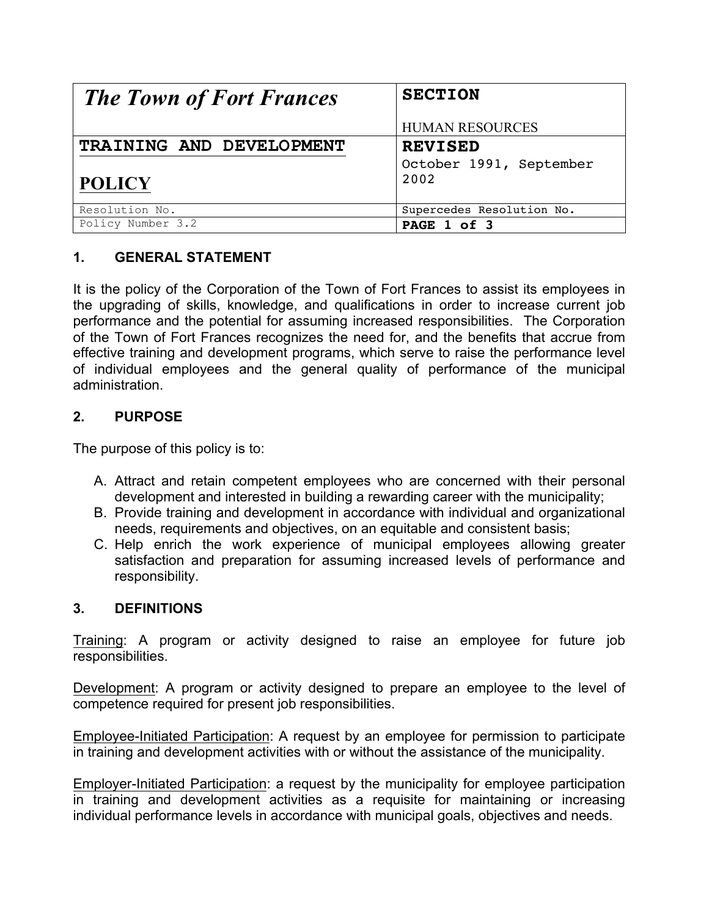| <b>The Town of Fort Frances</b> | <b>SECTION</b>            |
|---------------------------------|---------------------------|
|                                 | <b>HUMAN RESOURCES</b>    |
| TRAINING AND DEVELOPMENT        | <b>REVISED</b>            |
|                                 | October 1991, September   |
| <b>POLICY</b>                   | 2002                      |
| Resolution No.                  | Supercedes Resolution No. |
| Policy Number 3.2               | PAGE 1 of 3               |

# **1. GENERAL STATEMENT**

It is the policy of the Corporation of the Town of Fort Frances to assist its employees in the upgrading of skills, knowledge, and qualifications in order to increase current job performance and the potential for assuming increased responsibilities. The Corporation of the Town of Fort Frances recognizes the need for, and the benefits that accrue from effective training and development programs, which serve to raise the performance level of individual employees and the general quality of performance of the municipal administration.

### **2. PURPOSE**

The purpose of this policy is to:

- A. Attract and retain competent employees who are concerned with their personal development and interested in building a rewarding career with the municipality;
- B. Provide training and development in accordance with individual and organizational needs, requirements and objectives, on an equitable and consistent basis;
- C. Help enrich the work experience of municipal employees allowing greater satisfaction and preparation for assuming increased levels of performance and responsibility.

### **3. DEFINITIONS**

Training: A program or activity designed to raise an employee for future job responsibilities.

Development: A program or activity designed to prepare an employee to the level of competence required for present job responsibilities.

Employee-Initiated Participation: A request by an employee for permission to participate in training and development activities with or without the assistance of the municipality.

Employer-Initiated Participation: a request by the municipality for employee participation in training and development activities as a requisite for maintaining or increasing individual performance levels in accordance with municipal goals, objectives and needs.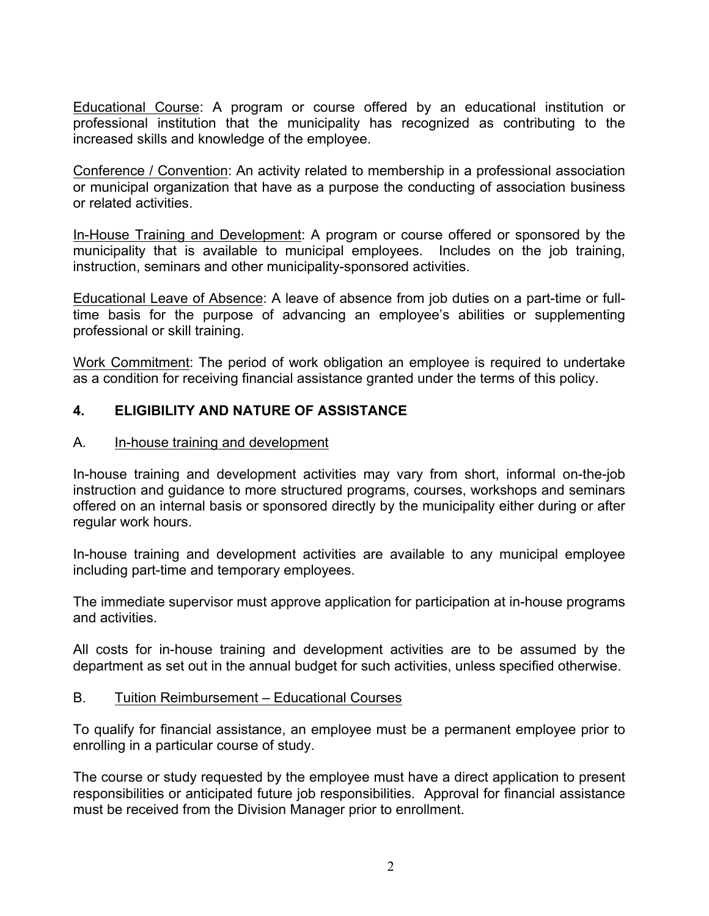Educational Course: A program or course offered by an educational institution or professional institution that the municipality has recognized as contributing to the increased skills and knowledge of the employee.

Conference / Convention: An activity related to membership in a professional association or municipal organization that have as a purpose the conducting of association business or related activities.

In-House Training and Development: A program or course offered or sponsored by the municipality that is available to municipal employees. Includes on the job training, instruction, seminars and other municipality-sponsored activities.

Educational Leave of Absence: A leave of absence from job duties on a part-time or fulltime basis for the purpose of advancing an employee's abilities or supplementing professional or skill training.

Work Commitment: The period of work obligation an employee is required to undertake as a condition for receiving financial assistance granted under the terms of this policy.

## **4. ELIGIBILITY AND NATURE OF ASSISTANCE**

### A. In-house training and development

In-house training and development activities may vary from short, informal on-the-job instruction and guidance to more structured programs, courses, workshops and seminars offered on an internal basis or sponsored directly by the municipality either during or after regular work hours.

In-house training and development activities are available to any municipal employee including part-time and temporary employees.

The immediate supervisor must approve application for participation at in-house programs and activities.

All costs for in-house training and development activities are to be assumed by the department as set out in the annual budget for such activities, unless specified otherwise.

### B. Tuition Reimbursement – Educational Courses

To qualify for financial assistance, an employee must be a permanent employee prior to enrolling in a particular course of study.

The course or study requested by the employee must have a direct application to present responsibilities or anticipated future job responsibilities. Approval for financial assistance must be received from the Division Manager prior to enrollment.